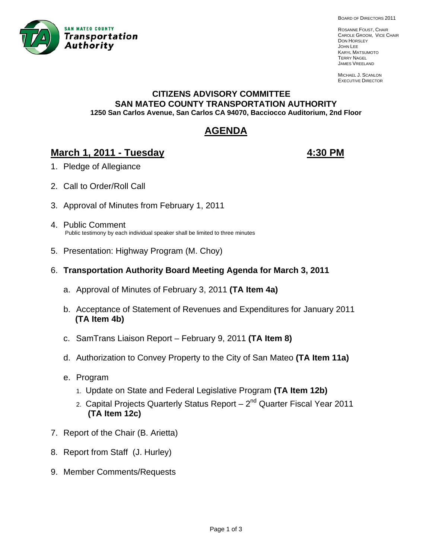

BOARD OF DIRECTORS 2011

ROSANNE FOUST, CHAIR CAROLE GROOM, VICE CHAIR DON HORSLEY JOHN LEE KARYL MATSUMOTO TERRY NAGEL JAMES VREELAND

MICHAEL J. SCANLON EXECUTIVE DIRECTOR

#### **CITIZENS ADVISORY COMMITTEE SAN MATEO COUNTY TRANSPORTATION AUTHORITY 1250 San Carlos Avenue, San Carlos CA 94070, Bacciocco Auditorium, 2nd Floor**

# **AGENDA**

# **March 1, 2011 - Tuesday 19.19.10. At 120 PM**

- 1. Pledge of Allegiance
- 2. Call to Order/Roll Call
- 3. Approval of Minutes from February 1, 2011
- 4. Public Comment Public testimony by each individual speaker shall be limited to three minutes
- 5. Presentation: Highway Program (M. Choy)
- 6. **Transportation Authority Board Meeting Agenda for March 3, 2011**
	- a. Approval of Minutes of February 3, 2011 **(TA Item 4a)**
	- b. Acceptance of Statement of Revenues and Expenditures for January 2011  **(TA Item 4b)**
	- c. SamTrans Liaison Report February 9, 2011 **(TA Item 8)**
	- d. Authorization to Convey Property to the City of San Mateo **(TA Item 11a)**
	- e. Program
		- 1. Update on State and Federal Legislative Program **(TA Item 12b)**
		- 2. Capital Projects Quarterly Status Report  $-2<sup>nd</sup>$  Quarter Fiscal Year 2011  **(TA Item 12c)**
- 7. Report of the Chair (B. Arietta)
- 8. Report from Staff (J. Hurley)
- 9. Member Comments/Requests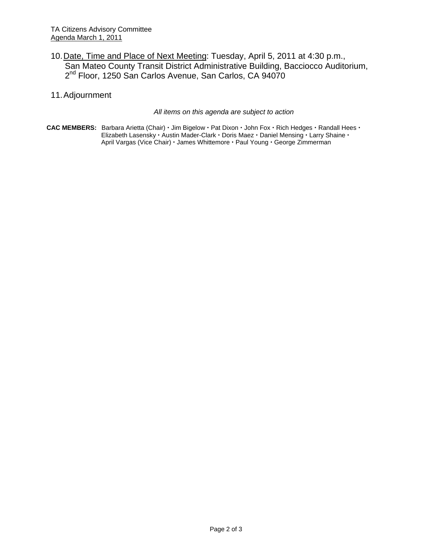- 10. Date, Time and Place of Next Meeting: Tuesday, April 5, 2011 at 4:30 p.m., San Mateo County Transit District Administrative Building, Bacciocco Auditorium, 2<sup>nd</sup> Floor, 1250 San Carlos Avenue, San Carlos, CA 94070
- 11. Adjournment

#### *All items on this agenda are subject to action*

CAC MEMBERS: Barbara Arietta (Chair) · Jim Bigelow · Pat Dixon · John Fox · Rich Hedges · Randall Hees · Elizabeth Lasensky · Austin Mader-Clark · Doris Maez · Daniel Mensing · Larry Shaine · April Vargas (Vice Chair) · James Whittemore · Paul Young · George Zimmerman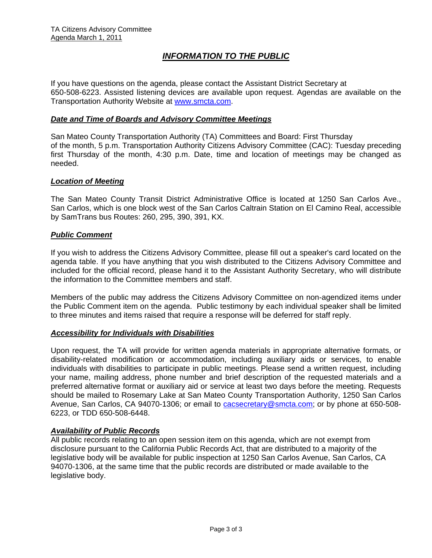# *INFORMATION TO THE PUBLIC*

If you have questions on the agenda, please contact the Assistant District Secretary at 650-508-6223. Assisted listening devices are available upon request. Agendas are available on the Transportation Authority Website at [www.smcta.com.](http://www.smcta.com/)

#### *Date and Time of Boards and Advisory Committee Meetings*

San Mateo County Transportation Authority (TA) Committees and Board: First Thursday of the month, 5 p.m. Transportation Authority Citizens Advisory Committee (CAC): Tuesday preceding first Thursday of the month, 4:30 p.m. Date, time and location of meetings may be changed as needed.

#### *Location of Meeting*

The San Mateo County Transit District Administrative Office is located at 1250 San Carlos Ave., San Carlos, which is one block west of the San Carlos Caltrain Station on El Camino Real, accessible by SamTrans bus Routes: 260, 295, 390, 391, KX.

#### *Public Comment*

If you wish to address the Citizens Advisory Committee, please fill out a speaker's card located on the agenda table. If you have anything that you wish distributed to the Citizens Advisory Committee and included for the official record, please hand it to the Assistant Authority Secretary, who will distribute the information to the Committee members and staff.

Members of the public may address the Citizens Advisory Committee on non-agendized items under the Public Comment item on the agenda. Public testimony by each individual speaker shall be limited to three minutes and items raised that require a response will be deferred for staff reply.

#### *Accessibility for Individuals with Disabilities*

Upon request, the TA will provide for written agenda materials in appropriate alternative formats, or disability-related modification or accommodation, including auxiliary aids or services, to enable individuals with disabilities to participate in public meetings. Please send a written request, including your name, mailing address, phone number and brief description of the requested materials and a preferred alternative format or auxiliary aid or service at least two days before the meeting. Requests should be mailed to Rosemary Lake at San Mateo County Transportation Authority, 1250 San Carlos Avenue, San Carlos, CA 94070-1306; or email to [cacsecretary@smcta.com](mailto:cacsecretary@smcta.com); or by phone at 650-508- 6223, or TDD 650-508-6448.

#### *Availability of Public Records*

All public records relating to an open session item on this agenda, which are not exempt from disclosure pursuant to the California Public Records Act, that are distributed to a majority of the legislative body will be available for public inspection at 1250 San Carlos Avenue, San Carlos, CA 94070-1306, at the same time that the public records are distributed or made available to the legislative body.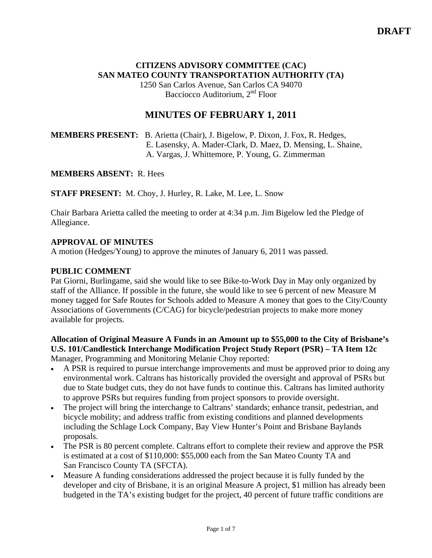# **CITIZENS ADVISORY COMMITTEE (CAC) SAN MATEO COUNTY TRANSPORTATION AUTHORITY (TA)**

1250 San Carlos Avenue, San Carlos CA 94070 Bacciocco Auditorium, 2<sup>nd</sup> Floor

# **MINUTES OF FEBRUARY 1, 2011**

**MEMBERS PRESENT:** B. Arietta (Chair), J. Bigelow, P. Dixon, J. Fox, R. Hedges, E. Lasensky, A. Mader-Clark, D. Maez, D. Mensing, L. Shaine, A. Vargas, J. Whittemore, P. Young, G. Zimmerman

## **MEMBERS ABSENT:** R. Hees

**STAFF PRESENT:** M. Choy, J. Hurley, R. Lake, M. Lee, L. Snow

Chair Barbara Arietta called the meeting to order at 4:34 p.m. Jim Bigelow led the Pledge of Allegiance.

# **APPROVAL OF MINUTES**

A motion (Hedges/Young) to approve the minutes of January 6, 2011 was passed.

## **PUBLIC COMMENT**

Pat Giorni, Burlingame, said she would like to see Bike-to-Work Day in May only organized by staff of the Alliance. If possible in the future, she would like to see 6 percent of new Measure M money tagged for Safe Routes for Schools added to Measure A money that goes to the City/County Associations of Governments (C/CAG) for bicycle/pedestrian projects to make more money available for projects.

## **Allocation of Original Measure A Funds in an Amount up to \$55,000 to the City of Brisbane's U.S. 101/Candlestick Interchange Modification Project Study Report (PSR) – TA Item 12c**  Manager, Programming and Monitoring Melanie Choy reported:

- A PSR is required to pursue interchange improvements and must be approved prior to doing any environmental work. Caltrans has historically provided the oversight and approval of PSRs but due to State budget cuts, they do not have funds to continue this. Caltrans has limited authority to approve PSRs but requires funding from project sponsors to provide oversight.
- The project will bring the interchange to Caltrans' standards; enhance transit, pedestrian, and bicycle mobility; and address traffic from existing conditions and planned developments including the Schlage Lock Company, Bay View Hunter's Point and Brisbane Baylands proposals.
- The PSR is 80 percent complete. Caltrans effort to complete their review and approve the PSR is estimated at a cost of \$110,000: \$55,000 each from the San Mateo County TA and San Francisco County TA (SFCTA).
- Measure A funding considerations addressed the project because it is fully funded by the developer and city of Brisbane, it is an original Measure A project, \$1 million has already been budgeted in the TA's existing budget for the project, 40 percent of future traffic conditions are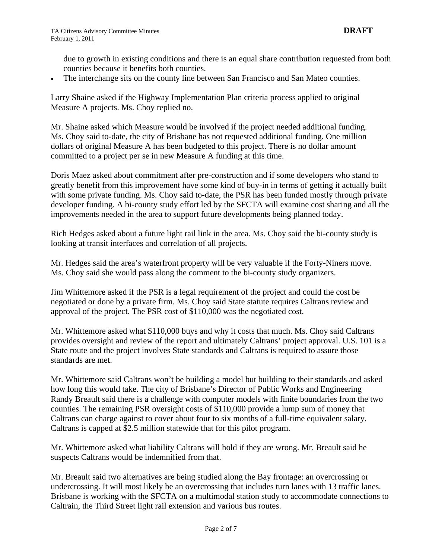due to growth in existing conditions and there is an equal share contribution requested from both counties because it benefits both counties.

• The interchange sits on the county line between San Francisco and San Mateo counties.

Larry Shaine asked if the Highway Implementation Plan criteria process applied to original Measure A projects. Ms. Choy replied no.

Mr. Shaine asked which Measure would be involved if the project needed additional funding. Ms. Choy said to-date, the city of Brisbane has not requested additional funding. One million dollars of original Measure A has been budgeted to this project. There is no dollar amount committed to a project per se in new Measure A funding at this time.

Doris Maez asked about commitment after pre-construction and if some developers who stand to greatly benefit from this improvement have some kind of buy-in in terms of getting it actually built with some private funding. Ms. Choy said to-date, the PSR has been funded mostly through private developer funding. A bi-county study effort led by the SFCTA will examine cost sharing and all the improvements needed in the area to support future developments being planned today.

Rich Hedges asked about a future light rail link in the area. Ms. Choy said the bi-county study is looking at transit interfaces and correlation of all projects.

Mr. Hedges said the area's waterfront property will be very valuable if the Forty-Niners move. Ms. Choy said she would pass along the comment to the bi-county study organizers.

Jim Whittemore asked if the PSR is a legal requirement of the project and could the cost be negotiated or done by a private firm. Ms. Choy said State statute requires Caltrans review and approval of the project. The PSR cost of \$110,000 was the negotiated cost.

Mr. Whittemore asked what \$110,000 buys and why it costs that much. Ms. Choy said Caltrans provides oversight and review of the report and ultimately Caltrans' project approval. U.S. 101 is a State route and the project involves State standards and Caltrans is required to assure those standards are met.

Mr. Whittemore said Caltrans won't be building a model but building to their standards and asked how long this would take. The city of Brisbane's Director of Public Works and Engineering Randy Breault said there is a challenge with computer models with finite boundaries from the two counties. The remaining PSR oversight costs of \$110,000 provide a lump sum of money that Caltrans can charge against to cover about four to six months of a full-time equivalent salary. Caltrans is capped at \$2.5 million statewide that for this pilot program.

Mr. Whittemore asked what liability Caltrans will hold if they are wrong. Mr. Breault said he suspects Caltrans would be indemnified from that.

Mr. Breault said two alternatives are being studied along the Bay frontage: an overcrossing or undercrossing. It will most likely be an overcrossing that includes turn lanes with 13 traffic lanes. Brisbane is working with the SFCTA on a multimodal station study to accommodate connections to Caltrain, the Third Street light rail extension and various bus routes.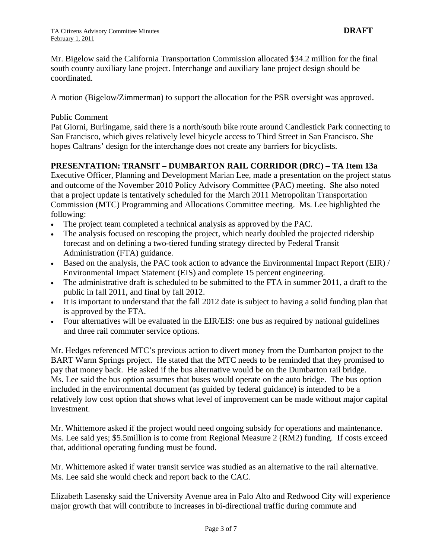Mr. Bigelow said the California Transportation Commission allocated \$34.2 million for the final south county auxiliary lane project. Interchange and auxiliary lane project design should be coordinated.

A motion (Bigelow/Zimmerman) to support the allocation for the PSR oversight was approved.

#### Public Comment

Pat Giorni, Burlingame, said there is a north/south bike route around Candlestick Park connecting to San Francisco, which gives relatively level bicycle access to Third Street in San Francisco. She hopes Caltrans' design for the interchange does not create any barriers for bicyclists.

## **PRESENTATION: TRANSIT – DUMBARTON RAIL CORRIDOR (DRC) – TA Item 13a**

Executive Officer, Planning and Development Marian Lee, made a presentation on the project status and outcome of the November 2010 Policy Advisory Committee (PAC) meeting. She also noted that a project update is tentatively scheduled for the March 2011 Metropolitan Transportation Commission (MTC) Programming and Allocations Committee meeting. Ms. Lee highlighted the following:

- The project team completed a technical analysis as approved by the PAC.
- The analysis focused on rescoping the project, which nearly doubled the projected ridership forecast and on defining a two-tiered funding strategy directed by Federal Transit Administration (FTA) guidance.
- Based on the analysis, the PAC took action to advance the Environmental Impact Report (EIR) / Environmental Impact Statement (EIS) and complete 15 percent engineering.
- The administrative draft is scheduled to be submitted to the FTA in summer 2011, a draft to the public in fall 2011, and final by fall 2012.
- It is important to understand that the fall 2012 date is subject to having a solid funding plan that is approved by the FTA.
- Four alternatives will be evaluated in the EIR/EIS: one bus as required by national guidelines and three rail commuter service options.

Mr. Hedges referenced MTC's previous action to divert money from the Dumbarton project to the BART Warm Springs project. He stated that the MTC needs to be reminded that they promised to pay that money back. He asked if the bus alternative would be on the Dumbarton rail bridge. Ms. Lee said the bus option assumes that buses would operate on the auto bridge. The bus option included in the environmental document (as guided by federal guidance) is intended to be a relatively low cost option that shows what level of improvement can be made without major capital investment.

Mr. Whittemore asked if the project would need ongoing subsidy for operations and maintenance. Ms. Lee said yes; \$5.5million is to come from Regional Measure 2 (RM2) funding. If costs exceed that, additional operating funding must be found.

Mr. Whittemore asked if water transit service was studied as an alternative to the rail alternative. Ms. Lee said she would check and report back to the CAC.

Elizabeth Lasensky said the University Avenue area in Palo Alto and Redwood City will experience major growth that will contribute to increases in bi-directional traffic during commute and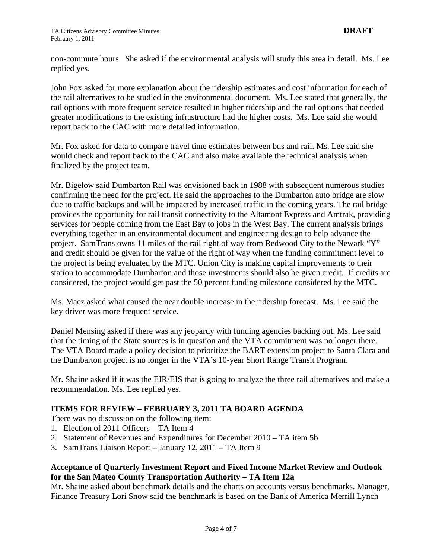non-commute hours. She asked if the environmental analysis will study this area in detail. Ms. Lee replied yes.

John Fox asked for more explanation about the ridership estimates and cost information for each of the rail alternatives to be studied in the environmental document. Ms. Lee stated that generally, the rail options with more frequent service resulted in higher ridership and the rail options that needed greater modifications to the existing infrastructure had the higher costs. Ms. Lee said she would report back to the CAC with more detailed information.

Mr. Fox asked for data to compare travel time estimates between bus and rail. Ms. Lee said she would check and report back to the CAC and also make available the technical analysis when finalized by the project team.

Mr. Bigelow said Dumbarton Rail was envisioned back in 1988 with subsequent numerous studies confirming the need for the project. He said the approaches to the Dumbarton auto bridge are slow due to traffic backups and will be impacted by increased traffic in the coming years. The rail bridge provides the opportunity for rail transit connectivity to the Altamont Express and Amtrak, providing services for people coming from the East Bay to jobs in the West Bay. The current analysis brings everything together in an environmental document and engineering design to help advance the project. SamTrans owns 11 miles of the rail right of way from Redwood City to the Newark "Y" and credit should be given for the value of the right of way when the funding commitment level to the project is being evaluated by the MTC. Union City is making capital improvements to their station to accommodate Dumbarton and those investments should also be given credit. If credits are considered, the project would get past the 50 percent funding milestone considered by the MTC.

Ms. Maez asked what caused the near double increase in the ridership forecast. Ms. Lee said the key driver was more frequent service.

Daniel Mensing asked if there was any jeopardy with funding agencies backing out. Ms. Lee said that the timing of the State sources is in question and the VTA commitment was no longer there. The VTA Board made a policy decision to prioritize the BART extension project to Santa Clara and the Dumbarton project is no longer in the VTA's 10-year Short Range Transit Program.

Mr. Shaine asked if it was the EIR/EIS that is going to analyze the three rail alternatives and make a recommendation. Ms. Lee replied yes.

# **ITEMS FOR REVIEW – FEBRUARY 3, 2011 TA BOARD AGENDA**

There was no discussion on the following item:

- 1. Election of 2011 Officers TA Item 4
- 2. Statement of Revenues and Expenditures for December 2010 TA item 5b
- 3. SamTrans Liaison Report January 12, 2011 TA Item 9

## **Acceptance of Quarterly Investment Report and Fixed Income Market Review and Outlook for the San Mateo County Transportation Authority – TA Item 12a**

Mr. Shaine asked about benchmark details and the charts on accounts versus benchmarks. Manager, Finance Treasury Lori Snow said the benchmark is based on the Bank of America Merrill Lynch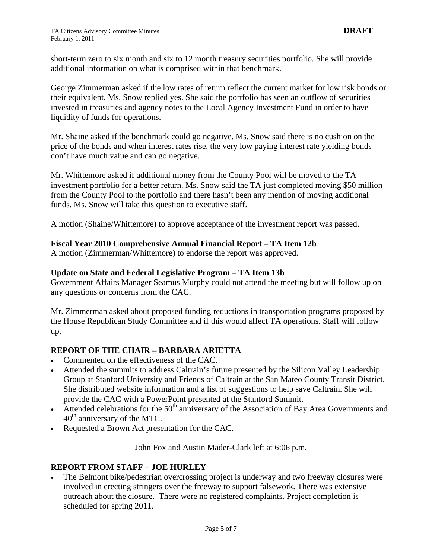short-term zero to six month and six to 12 month treasury securities portfolio. She will provide additional information on what is comprised within that benchmark.

George Zimmerman asked if the low rates of return reflect the current market for low risk bonds or their equivalent. Ms. Snow replied yes. She said the portfolio has seen an outflow of securities invested in treasuries and agency notes to the Local Agency Investment Fund in order to have liquidity of funds for operations.

Mr. Shaine asked if the benchmark could go negative. Ms. Snow said there is no cushion on the price of the bonds and when interest rates rise, the very low paying interest rate yielding bonds don't have much value and can go negative.

Mr. Whittemore asked if additional money from the County Pool will be moved to the TA investment portfolio for a better return. Ms. Snow said the TA just completed moving \$50 million from the County Pool to the portfolio and there hasn't been any mention of moving additional funds. Ms. Snow will take this question to executive staff.

A motion (Shaine/Whittemore) to approve acceptance of the investment report was passed.

#### **Fiscal Year 2010 Comprehensive Annual Financial Report – TA Item 12b**

A motion (Zimmerman/Whittemore) to endorse the report was approved.

#### **Update on State and Federal Legislative Program – TA Item 13b**

Government Affairs Manager Seamus Murphy could not attend the meeting but will follow up on any questions or concerns from the CAC.

Mr. Zimmerman asked about proposed funding reductions in transportation programs proposed by the House Republican Study Committee and if this would affect TA operations. Staff will follow up.

#### **REPORT OF THE CHAIR – BARBARA ARIETTA**

- Commented on the effectiveness of the CAC.
- Attended the summits to address Caltrain's future presented by the Silicon Valley Leadership Group at Stanford University and Friends of Caltrain at the San Mateo County Transit District. She distributed website information and a list of suggestions to help save Caltrain. She will provide the CAC with a PowerPoint presented at the Stanford Summit.
- Attended celebrations for the  $50<sup>th</sup>$  anniversary of the Association of Bay Area Governments and 40<sup>th</sup> anniversary of the MTC.
- Requested a Brown Act presentation for the CAC.

John Fox and Austin Mader-Clark left at 6:06 p.m.

# **REPORT FROM STAFF – JOE HURLEY**

The Belmont bike/pedestrian overcrossing project is underway and two freeway closures were involved in erecting stringers over the freeway to support falsework. There was extensive outreach about the closure. There were no registered complaints. Project completion is scheduled for spring 2011.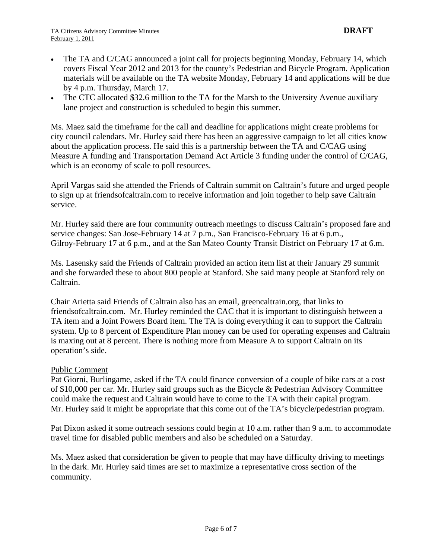- The TA and C/CAG announced a joint call for projects beginning Monday, February 14, which covers Fiscal Year 2012 and 2013 for the county's Pedestrian and Bicycle Program. Application materials will be available on the TA website Monday, February 14 and applications will be due by 4 p.m. Thursday, March 17.
- The CTC allocated \$32.6 million to the TA for the Marsh to the University Avenue auxiliary lane project and construction is scheduled to begin this summer.

Ms. Maez said the timeframe for the call and deadline for applications might create problems for city council calendars. Mr. Hurley said there has been an aggressive campaign to let all cities know about the application process. He said this is a partnership between the TA and C/CAG using Measure A funding and Transportation Demand Act Article 3 funding under the control of C/CAG, which is an economy of scale to poll resources.

April Vargas said she attended the Friends of Caltrain summit on Caltrain's future and urged people to sign up at friendsofcaltrain.com to receive information and join together to help save Caltrain service.

Mr. Hurley said there are four community outreach meetings to discuss Caltrain's proposed fare and service changes: San Jose-February 14 at 7 p.m., San Francisco-February 16 at 6 p.m., Gilroy-February 17 at 6 p.m., and at the San Mateo County Transit District on February 17 at 6.m.

Ms. Lasensky said the Friends of Caltrain provided an action item list at their January 29 summit and she forwarded these to about 800 people at Stanford. She said many people at Stanford rely on Caltrain.

Chair Arietta said Friends of Caltrain also has an email, greencaltrain.org, that links to friendsofcaltrain.com. Mr. Hurley reminded the CAC that it is important to distinguish between a TA item and a Joint Powers Board item. The TA is doing everything it can to support the Caltrain system. Up to 8 percent of Expenditure Plan money can be used for operating expenses and Caltrain is maxing out at 8 percent. There is nothing more from Measure A to support Caltrain on its operation's side.

#### Public Comment

Pat Giorni, Burlingame, asked if the TA could finance conversion of a couple of bike cars at a cost of \$10,000 per car. Mr. Hurley said groups such as the Bicycle & Pedestrian Advisory Committee could make the request and Caltrain would have to come to the TA with their capital program. Mr. Hurley said it might be appropriate that this come out of the TA's bicycle/pedestrian program.

Pat Dixon asked it some outreach sessions could begin at 10 a.m. rather than 9 a.m. to accommodate travel time for disabled public members and also be scheduled on a Saturday.

Ms. Maez asked that consideration be given to people that may have difficulty driving to meetings in the dark. Mr. Hurley said times are set to maximize a representative cross section of the community.